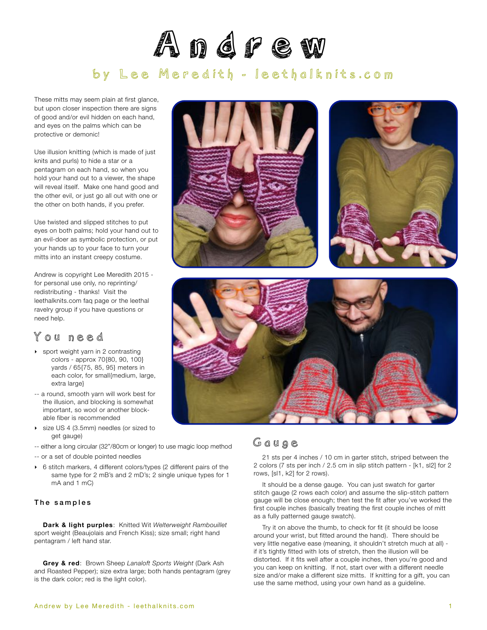# Andrew by Lee Meredith - [leethalknits.com](http://www.leethalknits.com)

These mitts may seem plain at first glance, but upon closer inspection there are signs of good and/or evil hidden on each hand, and eyes on the palms which can be protective or demonic!

Use illusion knitting (which is made of just knits and purls) to hide a star or a pentagram on each hand, so when you hold your hand out to a viewer, the shape will reveal itself. Make one hand good and the other evil, or just go all out with one or the other on both hands, if you prefer.

Use twisted and slipped stitches to put eyes on both palms; hold your hand out to an evil-doer as symbolic protection, or put your hands up to your face to turn your mitts into an instant creepy costume.

Andrew is copyright Lee Meredith 2015 for personal use only, no reprinting/ redistributing - thanks! Visit the leethalknits.com [faq page](http://www.leethalknits.com/faq.html) or the leethal [ravelry group](http://www.ravelry.com/groups/leethal-knitters) if you have questions or need help.

## You need

- ‣ sport weight yarn in 2 contrasting colors - approx 70{80, 90, 100} yards / 65{75, 85, 95} meters in each color, for small{medium, large, extra large}
- -- a round, smooth yarn will work best for the illusion, and blocking is somewhat important, so wool or another blockable fiber is recommended
- ‣ size US 4 (3.5mm) needles (or sized to get gauge)

-- either a long circular (32"/80cm or longer) to use magic loop method

- -- or a set of double pointed needles
- ‣ 6 stitch markers, 4 different colors/types (2 different pairs of the same type for 2 mB's and 2 mD's; 2 single unique types for 1 mA and 1 mC)

### The samples

**Dark & light purples**: Knitted Wit *Welterweight Rambouillet* sport weight (Beaujolais and French Kiss); size small; right hand pentagram / left hand star.

**Grey & red**: Brown Sheep *Lanaloft Sports Weight* (Dark Ash and Roasted Pepper); size extra large; both hands pentagram (grey is the dark color; red is the light color).



### Gauge

21 sts per 4 inches / 10 cm in garter stitch, striped between the 2 colors (7 sts per inch / 2.5 cm in slip stitch pattern - [k1, sl2] for 2 rows, [sl1, k2] for 2 rows).

It should be a dense gauge. You can just swatch for garter stitch gauge (2 rows each color) and assume the slip-stitch pattern gauge will be close enough; then test the fit after you've worked the first couple inches (basically treating the first couple inches of mitt as a fully patterned gauge swatch).

Try it on above the thumb, to check for fit (it should be loose around your wrist, but fitted around the hand). There should be very little negative ease (meaning, it shouldn't stretch much at all) if it's tightly fitted with lots of stretch, then the illusion will be distorted. If it fits well after a couple inches, then you're good and you can keep on knitting. If not, start over with a different needle size and/or make a different size mitts. If knitting for a gift, you can use the same method, using your own hand as a guideline.